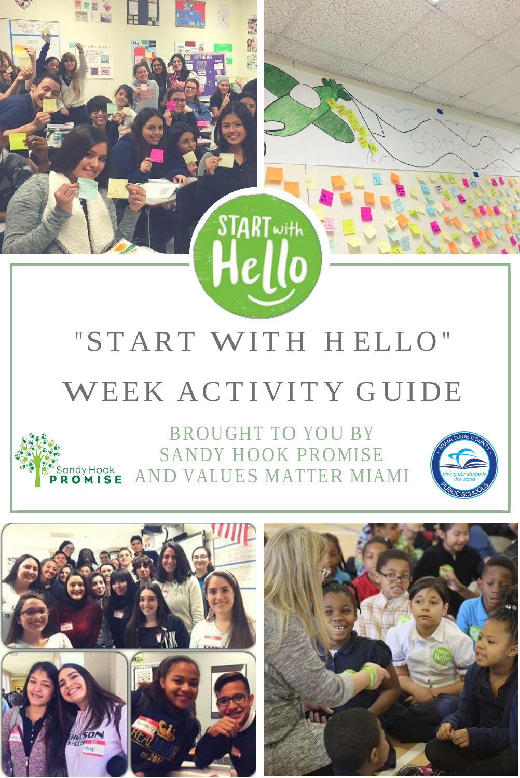

解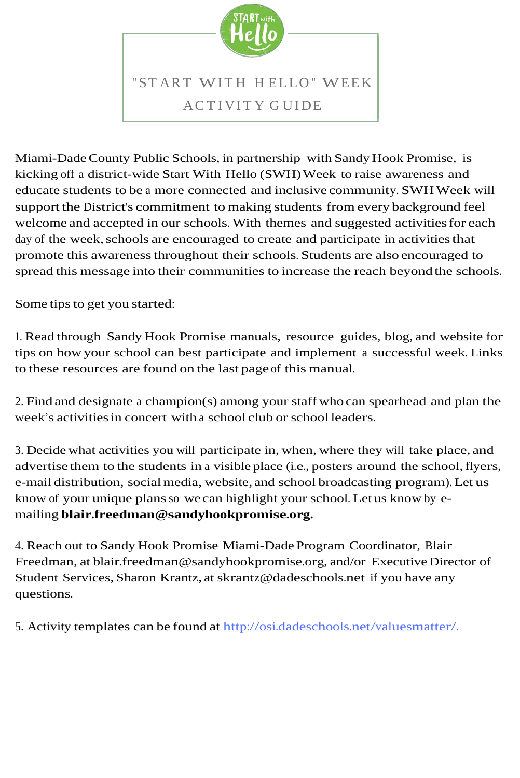

Miami-Dade County Public Schools, in partnership with Sandy Hook Promise, is kicking off a district-wide Start With Hello (SWH) Week to raise awareness and educate students to be a more connected and inclusive community. SWHWeek will support the District's commitment to making students from every background feel welcome and accepted in our schools. With themes and suggested activities for each day of the week, schools are encouraged to create and participate in activities that promote this awareness throughout their schools. Students are also encouraged to spread this message into their communities to increase the reach beyond the schools.

Some tips to get you started:

1. Read through Sandy Hook Promise manuals, resource guides, blog, and website for tips on how your school can best participate and implement a successful week. Links to these resources are found on the last page of this manual.

2. Find and designate a champion(s) among your staffwho can spearhead and plan the week's activitiesin concert with a school club or school leaders.

3. Decide what activities you will participate in, when, where they will take place, and advertise them to the students in a visible place (i.e., posters around the school, flyers, e-mail distribution, socialmedia, website, and school broadcasting program). Let us know of your unique plans so we can highlight your school. Let us know by emailing **[blair.freedman@sandyhookpromise.org.](mailto:blair.freedman@sandyhookpromise.org)**

4. Reach out to Sandy Hook Promise Miami-Dade Program Coordinator, Blair Freedman, at [blair.freedman@sandyhookpromise.org,](mailto:blair.freedman@sandyhookpromise.org) and/or Executive Director of Student Services, Sharon Krantz, at [skrantz@dadeschools.net](mailto:skrantz@dadeschools.net) if you have any questions.

5. Activity templates can be found at [http://osi.dadeschools.net/valuesmatter/.](http://osi.dadeschools.net/valuesmatter/)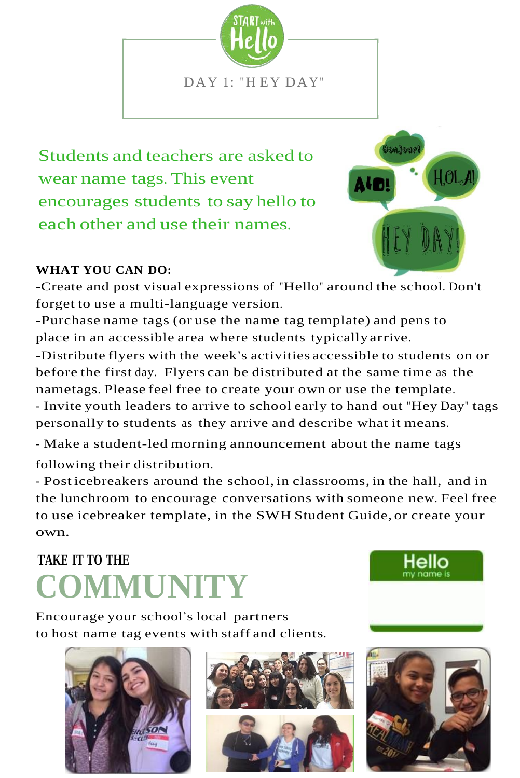

Students and teachers are asked to wear name tags. This event encourages students to say hello to each other and use their names.



#### **WHAT YOU CAN DO:**

-Create and post visual expressions of "Hello" around the school. Don't forget to use a multi-language version.

-Purchase name tags (or use the name tag template) and pens to place in an accessible area where students typically arrive.

-Distribute flyers with the week's activities accessible to students on or before the first day. Flyers can be distributed at the same time as the nametags. Please feel free to create your own or use the template. - Invite youth leaders to arrive to school early to hand out "Hey Day" tags personally to students as they arrive and describe what it means.

- Make a student-led morning announcement about the name tags following their distribution.

- Post icebreakers around the school, in classrooms, in the hall, and in the lunchroom to encourage conversations with someone new. Feel free to use icebreaker template, in the SWH Student Guide, or create your own.

### **TAKE IT TO THE COMMUNITY**

Encourage your school's local partners to host name tag events with staff and clients.







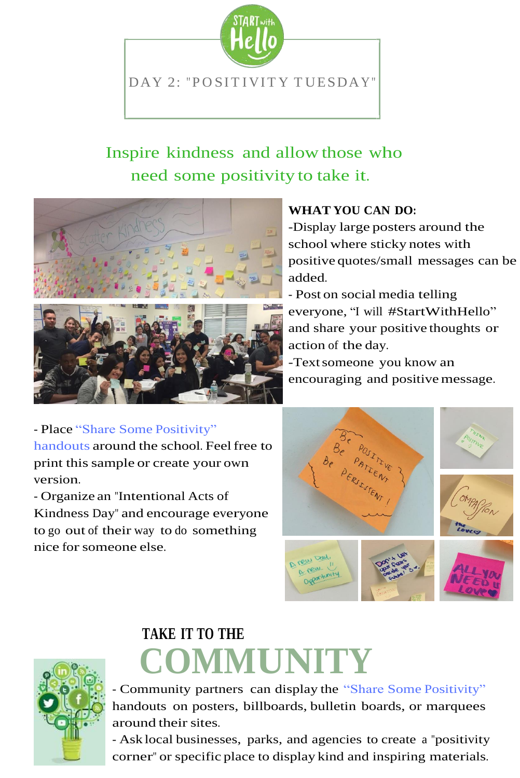

### Inspire kindness and allow those who need some positivity to take it.



- Place "Share Some [Positivity"](http://osi.dadeschools.net/valuesmatter/1617/SWH%20Manual%20Files/Share%20Some%20Positivity.pdf) [handouts](http://osi.dadeschools.net/valuesmatter/1617/SWH%20Manual%20Files/Share%20Some%20Positivity.pdf) around the school. Feelfree to print this sample or create your own [version.](http://osi.dadeschools.net/valuesmatter/1617/SWH%20Manual%20Files/Share%20Some%20Positivity.pdf)

- Organize an ["Intentional](http://osi.dadeschools.net/valuesmatter/1617/SWH%20Manual%20Files/Share%20Some%20Positivity.pdf) Acts of Kindness Day" and [encourage](http://osi.dadeschools.net/valuesmatter/1617/SWH%20Manual%20Files/Share%20Some%20Positivity.pdf) everyone to go out of their way to do [something](http://osi.dadeschools.net/valuesmatter/1617/SWH%20Manual%20Files/Share%20Some%20Positivity.pdf) nice [forsomeone](http://osi.dadeschools.net/valuesmatter/1617/SWH%20Manual%20Files/Share%20Some%20Positivity.pdf) else.



### **TAKE IT TO THE COMMUNITY**

[- Community](http://osi.dadeschools.net/valuesmatter/1617/SWH%20Manual%20Files/Share%20Some%20Positivity.pdf) partners can display the "Share Some Positivity" handouts on posters, billboards, bulletin boards, or [marquees](http://osi.dadeschools.net/valuesmatter/1617/SWH%20Manual%20Files/Share%20Some%20Positivity.pdf)  [around](http://osi.dadeschools.net/valuesmatter/1617/SWH%20Manual%20Files/Share%20Some%20Positivity.pdf) their sites.

- Ask local [businesses,](http://osi.dadeschools.net/valuesmatter/1617/SWH%20Manual%20Files/Share%20Some%20Positivity.pdf) parks, and agencies to create a "positivity corner" or specific place to display kind and inspiring [materials.](http://osi.dadeschools.net/valuesmatter/1617/SWH%20Manual%20Files/Share%20Some%20Positivity.pdf)

#### **WHAT YOU CAN DO:**

-Display large posters around the school where sticky notes with positive quotes/small messages can be added.

- Post on social media telling everyone, "I will #StartWithHello" and share your positive thoughts or action of the day.

-Text someone you know an encouraging and positive message.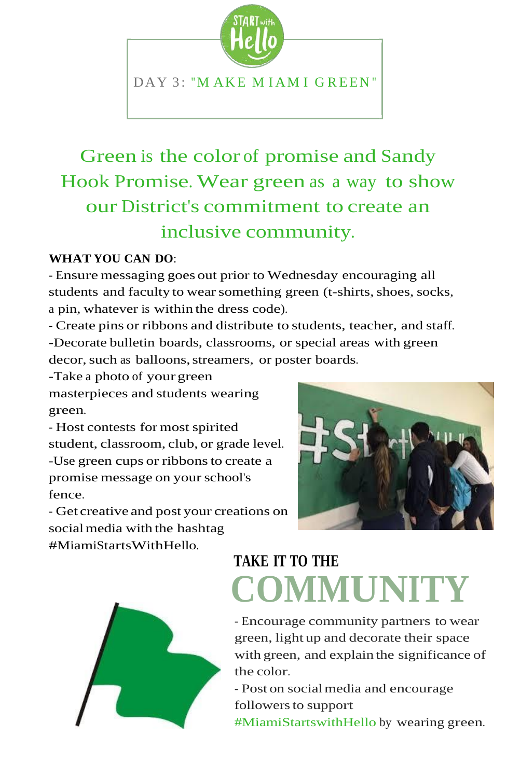

### Green is the color of promise and Sandy Hook Promise. Wear green as a way to show our District's commitment to create an inclusive community.

#### **WHAT YOU CAN DO**:

- Ensure messaging goes out prior to Wednesday encouraging all students and faculty to wear something green (t-shirts, shoes, socks, a pin, whatever is within the dress code).

- Create pins or ribbons and distribute to students, teacher, and staff. -Decorate bulletin boards, classrooms, or special areas with green decor, such as balloons, streamers, or poster boards.

-Take a photo of your green masterpieces and students wearing green.

- Host contests for most spirited student, classroom, club, or grade level. -Use green cups or ribbonsto create a promise message on your school's fence.

- Get creative and post your creations on social media with the hashtag #MiamiStartsWithHello.





### **TAKE IT TO THE COMMUNITY**

- Encourage community partners to wear green, light up and decorate their space with green, and explain the significance of the color.

- Post on socialmedia and encourage followers to support #MiamiStartswithHello by wearing green.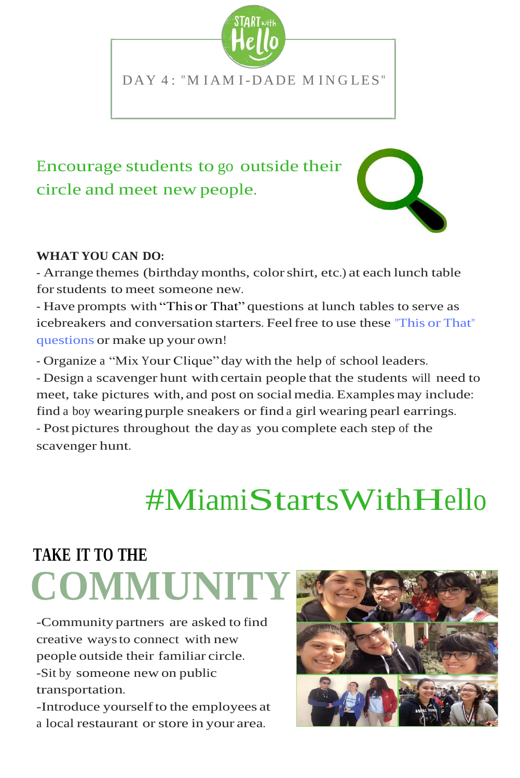

### Encourage students to go outside their circle and meet new people.



#### **[WHAT](http://osi.dadeschools.net/valuesmatter/1617/SWH%20Manual%20Files/This%20or%20That%20Questions.jpg.jpg) YOU CAN DO:**

- Arrange themes [\(birthdaymonths,](http://osi.dadeschools.net/valuesmatter/1617/SWH%20Manual%20Files/This%20or%20That%20Questions.jpg.jpg) colorshirt, etc.) at each lunch table [forstudents](http://osi.dadeschools.net/valuesmatter/1617/SWH%20Manual%20Files/This%20or%20That%20Questions.jpg.jpg) to meet someone new.

- Have prompts with "This or That" [questions at](http://osi.dadeschools.net/valuesmatter/1617/SWH%20Manual%20Files/This%20or%20That%20Questions.jpg.jpg) lunch tables to serve as icebreakers and [conversation](http://osi.dadeschools.net/valuesmatter/1617/SWH%20Manual%20Files/This%20or%20That%20Questions.jpg.jpg) starters. Feelfree to use these "This or That" [questions](http://osi.dadeschools.net/valuesmatter/1617/SWH%20Manual%20Files/This%20or%20That%20Questions.jpg.jpg) or make up your own!

[- Organize](http://osi.dadeschools.net/valuesmatter/1617/SWH%20Manual%20Files/This%20or%20That%20Questions.jpg.jpg) a "Mix Your Clique" day with the help of school leaders.

- Design a [scavenger](http://osi.dadeschools.net/valuesmatter/1617/SWH%20Manual%20Files/This%20or%20That%20Questions.jpg.jpg) hunt with certain people that the students will need to meet, take pictures with, and post on social media. Examples may include: find a [boy wearing](http://osi.dadeschools.net/valuesmatter/1617/SWH%20Manual%20Files/This%20or%20That%20Questions.jpg.jpg) purple sneakers or find a girl wearing pearl earrings. - Post pictures [throughout](http://osi.dadeschools.net/valuesmatter/1617/SWH%20Manual%20Files/This%20or%20That%20Questions.jpg.jpg) the day as you complete each step of the [scavenger](http://osi.dadeschools.net/valuesmatter/1617/SWH%20Manual%20Files/This%20or%20That%20Questions.jpg.jpg) hunt.

## #MiamiStartsWithHello

### **TAKE IT TO THE COMMUNI**

-Community partners are asked to find creative waysto connect with new people outside their familiar circle. -Sit by someone new on public transportation.

-Introduce yourselfto the employees at a local restaurant or store in your area.

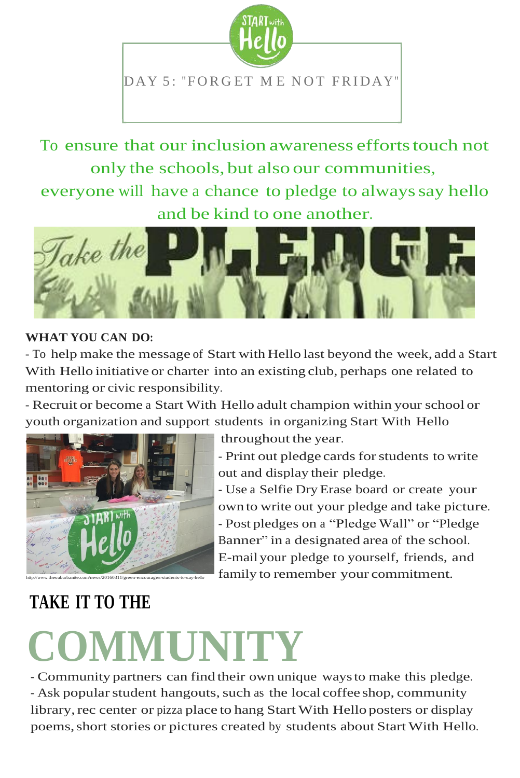

To ensure that our inclusion awareness efforts touch not only the schools, but also our communities,

everyone will have a chance to pledge to always say hello and be kind to one another.



#### **WHAT YOU CAN DO:**

- To help make the message of Start with Hello last beyond the week, add a Start With Hello initiative or charter into an existing club, perhaps one related to mentoring or civic responsibility.

- Recruit or become a Start With Hello adult champion within your school or youth organization and support students in organizing Start With Hello



throughout the year.

- Print out pledge cards for students to write out and display their pledge.

- Use a Selfie DryErase board or create your own to write out your pledge and take picture. - Post pledges on a "Pledge Wall" or "Pledge Banner" in a designated area of the school. E-mail your pledge to yourself, friends, and family to remember your commitment.

### **TAKE IT TO THE**

# **COMMUNITY** - Community partners can find their own unique waysto make this pledge.

- Ask popular student hangouts, such as the local coffee shop, community library, rec center or pizza place to hang Start With Hello posters or display poems, short stories or pictures created by students about Start With Hello.